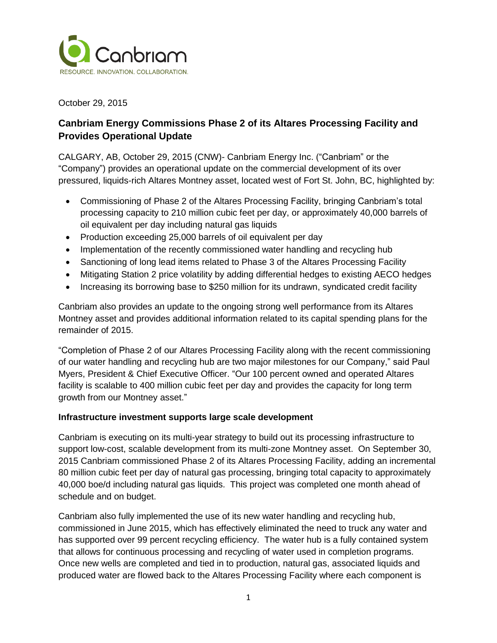

October 29, 2015

# **Canbriam Energy Commissions Phase 2 of its Altares Processing Facility and Provides Operational Update**

CALGARY, AB, October 29, 2015 (CNW)- Canbriam Energy Inc. ("Canbriam" or the "Company") provides an operational update on the commercial development of its over pressured, liquids-rich Altares Montney asset, located west of Fort St. John, BC, highlighted by:

- Commissioning of Phase 2 of the Altares Processing Facility, bringing Canbriam's total processing capacity to 210 million cubic feet per day, or approximately 40,000 barrels of oil equivalent per day including natural gas liquids
- Production exceeding 25,000 barrels of oil equivalent per day
- Implementation of the recently commissioned water handling and recycling hub
- Sanctioning of long lead items related to Phase 3 of the Altares Processing Facility
- Mitigating Station 2 price volatility by adding differential hedges to existing AECO hedges
- Increasing its borrowing base to \$250 million for its undrawn, syndicated credit facility

Canbriam also provides an update to the ongoing strong well performance from its Altares Montney asset and provides additional information related to its capital spending plans for the remainder of 2015.

"Completion of Phase 2 of our Altares Processing Facility along with the recent commissioning of our water handling and recycling hub are two major milestones for our Company," said Paul Myers, President & Chief Executive Officer. "Our 100 percent owned and operated Altares facility is scalable to 400 million cubic feet per day and provides the capacity for long term growth from our Montney asset."

# **Infrastructure investment supports large scale development**

Canbriam is executing on its multi-year strategy to build out its processing infrastructure to support low-cost, scalable development from its multi-zone Montney asset. On September 30, 2015 Canbriam commissioned Phase 2 of its Altares Processing Facility, adding an incremental 80 million cubic feet per day of natural gas processing, bringing total capacity to approximately 40,000 boe/d including natural gas liquids. This project was completed one month ahead of schedule and on budget.

Canbriam also fully implemented the use of its new water handling and recycling hub, commissioned in June 2015, which has effectively eliminated the need to truck any water and has supported over 99 percent recycling efficiency. The water hub is a fully contained system that allows for continuous processing and recycling of water used in completion programs. Once new wells are completed and tied in to production, natural gas, associated liquids and produced water are flowed back to the Altares Processing Facility where each component is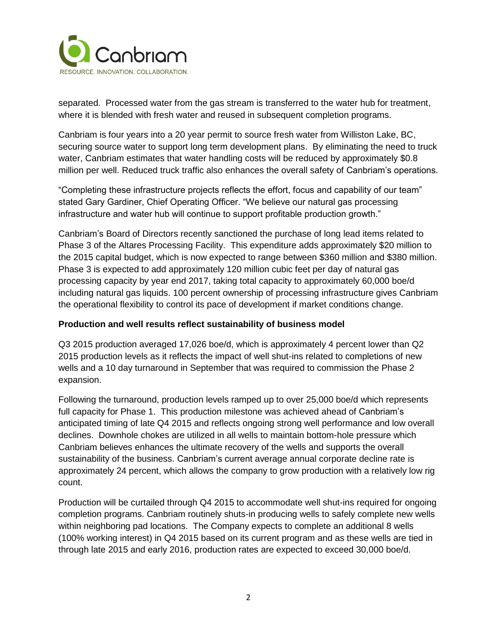

separated. Processed water from the gas stream is transferred to the water hub for treatment, where it is blended with fresh water and reused in subsequent completion programs.

Canbriam is four years into a 20 year permit to source fresh water from Williston Lake, BC, securing source water to support long term development plans. By eliminating the need to truck water, Canbriam estimates that water handling costs will be reduced by approximately \$0.8 million per well. Reduced truck traffic also enhances the overall safety of Canbriam's operations.

"Completing these infrastructure projects reflects the effort, focus and capability of our team" stated Gary Gardiner, Chief Operating Officer. "We believe our natural gas processing infrastructure and water hub will continue to support profitable production growth."

Canbriam's Board of Directors recently sanctioned the purchase of long lead items related to Phase 3 of the Altares Processing Facility. This expenditure adds approximately \$20 million to the 2015 capital budget, which is now expected to range between \$360 million and \$380 million. Phase 3 is expected to add approximately 120 million cubic feet per day of natural gas processing capacity by year end 2017, taking total capacity to approximately 60,000 boe/d including natural gas liquids. 100 percent ownership of processing infrastructure gives Canbriam the operational flexibility to control its pace of development if market conditions change.

## **Production and well results reflect sustainability of business model**

Q3 2015 production averaged 17,026 boe/d, which is approximately 4 percent lower than Q2 2015 production levels as it reflects the impact of well shut-ins related to completions of new wells and a 10 day turnaround in September that was required to commission the Phase 2 expansion.

Following the turnaround, production levels ramped up to over 25,000 boe/d which represents full capacity for Phase 1. This production milestone was achieved ahead of Canbriam's anticipated timing of late Q4 2015 and reflects ongoing strong well performance and low overall declines. Downhole chokes are utilized in all wells to maintain bottom-hole pressure which Canbriam believes enhances the ultimate recovery of the wells and supports the overall sustainability of the business. Canbriam's current average annual corporate decline rate is approximately 24 percent, which allows the company to grow production with a relatively low rig count.

Production will be curtailed through Q4 2015 to accommodate well shut-ins required for ongoing completion programs. Canbriam routinely shuts-in producing wells to safely complete new wells within neighboring pad locations. The Company expects to complete an additional 8 wells (100% working interest) in Q4 2015 based on its current program and as these wells are tied in through late 2015 and early 2016, production rates are expected to exceed 30,000 boe/d.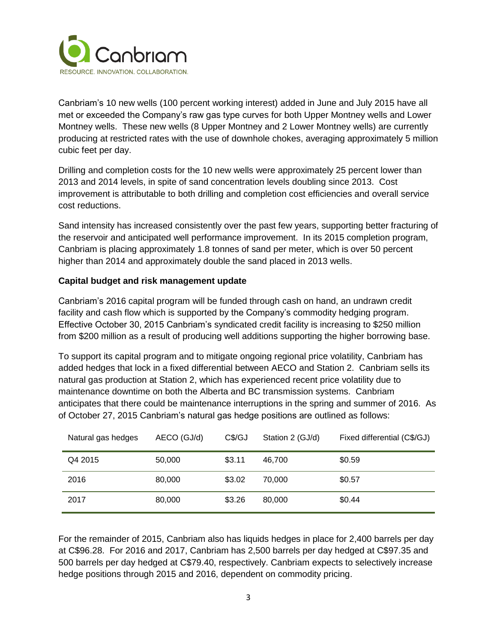

Canbriam's 10 new wells (100 percent working interest) added in June and July 2015 have all met or exceeded the Company's raw gas type curves for both Upper Montney wells and Lower Montney wells. These new wells (8 Upper Montney and 2 Lower Montney wells) are currently producing at restricted rates with the use of downhole chokes, averaging approximately 5 million cubic feet per day.

Drilling and completion costs for the 10 new wells were approximately 25 percent lower than 2013 and 2014 levels, in spite of sand concentration levels doubling since 2013. Cost improvement is attributable to both drilling and completion cost efficiencies and overall service cost reductions.

Sand intensity has increased consistently over the past few years, supporting better fracturing of the reservoir and anticipated well performance improvement. In its 2015 completion program, Canbriam is placing approximately 1.8 tonnes of sand per meter, which is over 50 percent higher than 2014 and approximately double the sand placed in 2013 wells.

## **Capital budget and risk management update**

Canbriam's 2016 capital program will be funded through cash on hand, an undrawn credit facility and cash flow which is supported by the Company's commodity hedging program. Effective October 30, 2015 Canbriam's syndicated credit facility is increasing to \$250 million from \$200 million as a result of producing well additions supporting the higher borrowing base.

To support its capital program and to mitigate ongoing regional price volatility, Canbriam has added hedges that lock in a fixed differential between AECO and Station 2. Canbriam sells its natural gas production at Station 2, which has experienced recent price volatility due to maintenance downtime on both the Alberta and BC transmission systems. Canbriam anticipates that there could be maintenance interruptions in the spring and summer of 2016. As of October 27, 2015 Canbriam's natural gas hedge positions are outlined as follows:

| Natural gas hedges | AECO (GJ/d) | C\$/GJ | Station 2 (GJ/d) | Fixed differential (C\$/GJ) |
|--------------------|-------------|--------|------------------|-----------------------------|
| Q4 2015            | 50,000      | \$3.11 | 46.700           | \$0.59                      |
| 2016               | 80,000      | \$3.02 | 70.000           | \$0.57                      |
| 2017               | 80,000      | \$3.26 | 80,000           | \$0.44                      |

For the remainder of 2015, Canbriam also has liquids hedges in place for 2,400 barrels per day at C\$96.28. For 2016 and 2017, Canbriam has 2,500 barrels per day hedged at C\$97.35 and 500 barrels per day hedged at C\$79.40, respectively. Canbriam expects to selectively increase hedge positions through 2015 and 2016, dependent on commodity pricing.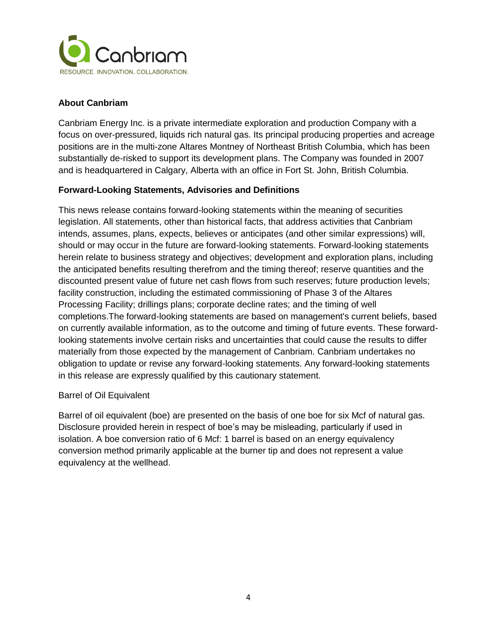

# **About Canbriam**

Canbriam Energy Inc. is a private intermediate exploration and production Company with a focus on over-pressured, liquids rich natural gas. Its principal producing properties and acreage positions are in the multi-zone Altares Montney of Northeast British Columbia, which has been substantially de-risked to support its development plans. The Company was founded in 2007 and is headquartered in Calgary, Alberta with an office in Fort St. John, British Columbia.

## **Forward-Looking Statements, Advisories and Definitions**

This news release contains forward-looking statements within the meaning of securities legislation. All statements, other than historical facts, that address activities that Canbriam intends, assumes, plans, expects, believes or anticipates (and other similar expressions) will, should or may occur in the future are forward-looking statements. Forward-looking statements herein relate to business strategy and objectives; development and exploration plans, including the anticipated benefits resulting therefrom and the timing thereof; reserve quantities and the discounted present value of future net cash flows from such reserves; future production levels; facility construction, including the estimated commissioning of Phase 3 of the Altares Processing Facility; drillings plans; corporate decline rates; and the timing of well completions.The forward-looking statements are based on management's current beliefs, based on currently available information, as to the outcome and timing of future events. These forwardlooking statements involve certain risks and uncertainties that could cause the results to differ materially from those expected by the management of Canbriam. Canbriam undertakes no obligation to update or revise any forward-looking statements. Any forward-looking statements in this release are expressly qualified by this cautionary statement.

## Barrel of Oil Equivalent

Barrel of oil equivalent (boe) are presented on the basis of one boe for six Mcf of natural gas. Disclosure provided herein in respect of boe's may be misleading, particularly if used in isolation. A boe conversion ratio of 6 Mcf: 1 barrel is based on an energy equivalency conversion method primarily applicable at the burner tip and does not represent a value equivalency at the wellhead.